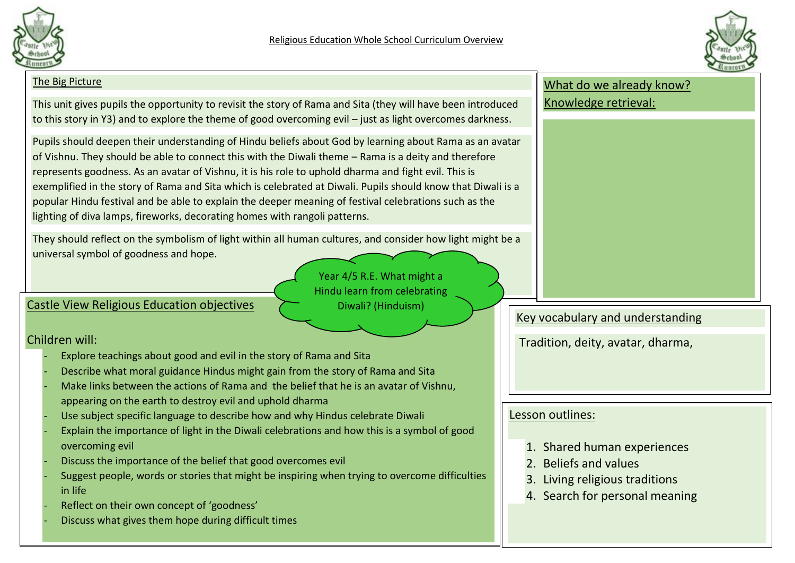



#### The Big Picture This unit gives pupils the opportunity to revisit the story of Rama and Sita (they will have been introduced to this story in Y3) and to explore the theme of good overcoming evil – just as light overcomes darkness. Pupils should deepen their understanding of Hindu beliefs about God by learning about Rama as an avatar of Vishnu. They should be able to connect this with the Diwali theme – Rama is a deity and therefore represents goodness. As an avatar of Vishnu, it is his role to uphold dharma and fight evil. This is exemplified in the story of Rama and Sita which is celebrated at Diwali. Pupils should know that Diwali is a popular Hindu festival and be able to explain the deeper meaning of festival celebrations such as the lighting of diva lamps, fireworks, decorating homes with rangoli patterns. They should reflect on the symbolism of light within all human cultures, and consider how light might be a universal symbol of goodness and hope. What do we already know? Knowledge retrieval: Key vocabulary and understanding Tradition, deity, avatar, dharma, Castle View Religious Education objectives Children will: Explore teachings about good and evil in the story of Rama and Sita Describe what moral guidance Hindus might gain from the story of Rama and Sita Make links between the actions of Rama and the belief that he is an avatar of Vishnu, appearing on the earth to destroy evil and uphold dharma Use subject specific language to describe how and why Hindus celebrate Diwali Explain the importance of light in the Diwali celebrations and how this is a symbol of good overcoming evil Discuss the importance of the belief that good overcomes evil Suggest people, words or stories that might be inspiring when trying to overcome difficulties in life Reflect on their own concept of 'goodness' Discuss what gives them hope during difficult times Lesson outlines: 1. Shared human experiences 2. Beliefs and values 3. Living religious traditions 4. Search for personal meaning Year 4/5 R.E. What might a Hindu learn from celebrating Diwali? (Hinduism)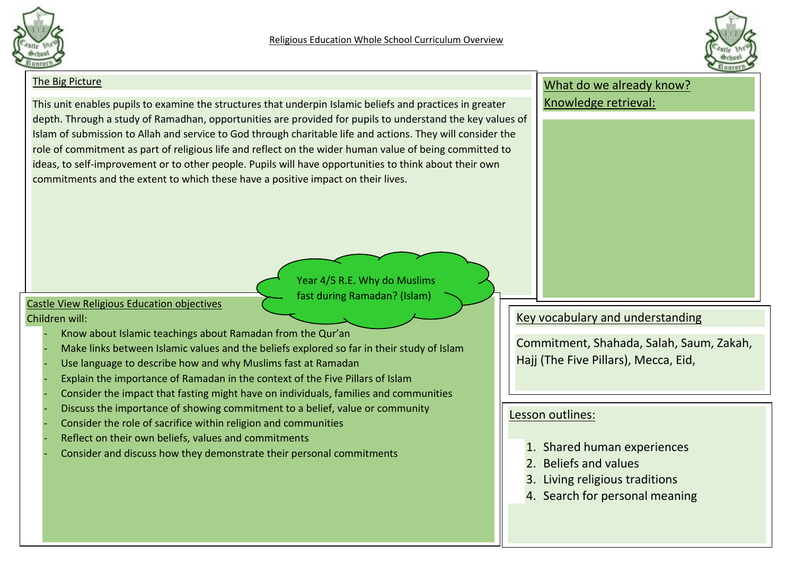



### The Big Picture This unit enables pupils to examine the structures that underpin Islamic beliefs and practices in greater depth. Through a study of Ramadhan, opportunities are provided for pupils to understand the key values of Islam of submission to Allah and service to God through charitable life and actions. They will consider the role of commitment as part of religious life and reflect on the wider human value of being committed to ideas, to self-improvement or to other people. Pupils will have opportunities to think about their own commitments and the extent to which these have a positive impact on their lives. What do we already know? Knowledge retrieval: Key vocabulary and understanding Commitment, Shahada, Salah, Saum, Zakah, Hajj (The Five Pillars), Mecca, Eid, Castle View Religious Education objectives Children will: - Know about Islamic teachings about Ramadan from the Qur'an Make links between Islamic values and the beliefs explored so far in their study of Islam Use language to describe how and why Muslims fast at Ramadan Explain the importance of Ramadan in the context of the Five Pillars of Islam - Consider the impact that fasting might have on individuals, families and communities - Discuss the importance of showing commitment to a belief, value or community Consider the role of sacrifice within religion and communities Reflect on their own beliefs, values and commitments Consider and discuss how they demonstrate their personal commitments Lesson outlines: 1. Shared human experiences 2. Beliefs and values 3. Living religious traditions 4. Search for personal meaning Year 4/5 R.E. Why do Muslims fast during Ramadan? (Islam)